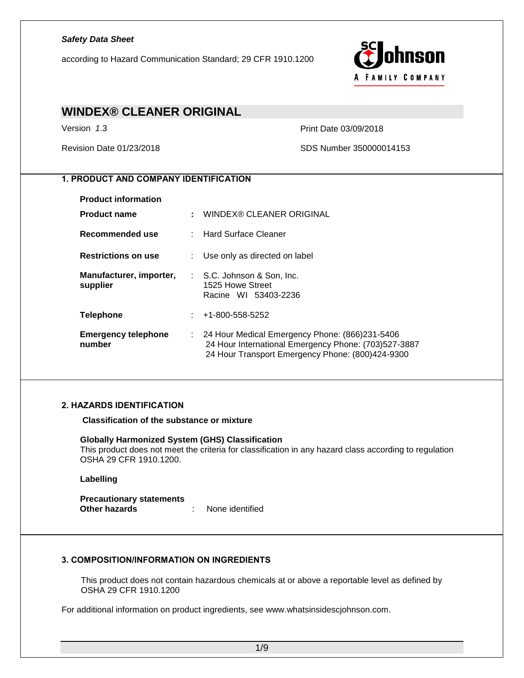according to Hazard Communication Standard; 29 CFR 1910.1200



## **WINDEX® CLEANER ORIGINAL** Version *1*.3 Print Date 03/09/2018 Revision Date 01/23/2018 SDS Number 350000014153 *1. PRODUCT AND COMPANY IDENTIFICATION* **Product information Product name :** WINDEX® CLEANER ORIGINAL **Recommended use** : Hard Surface Cleaner **Restrictions on use** : Use only as directed on label **Manufacturer, importer,**  : S.C. Johnson & Son, Inc. **supplier** 1525 Howe Street Racine WI 53403-2236 **Telephone** : +1-800-558-5252 **Emergency telephone number** : 24 Hour Medical Emergency Phone: (866)231-5406 24 Hour International Emergency Phone: (703)527-3887 24 Hour Transport Emergency Phone: (800)424-9300 *2. HAZARDS IDENTIFICATION* **Classification of the substance or mixture Globally Harmonized System (GHS) Classification** This product does not meet the criteria for classification in any hazard class according to regulation OSHA 29 CFR 1910.1200.

**Labelling**

**Precautionary statements Other hazards** : None identified

#### *3. COMPOSITION/INFORMATION ON INGREDIENTS*

This product does not contain hazardous chemicals at or above a reportable level as defined by OSHA 29 CFR 1910.1200

For additional information on product ingredients, see www.whatsinsidescjohnson.com.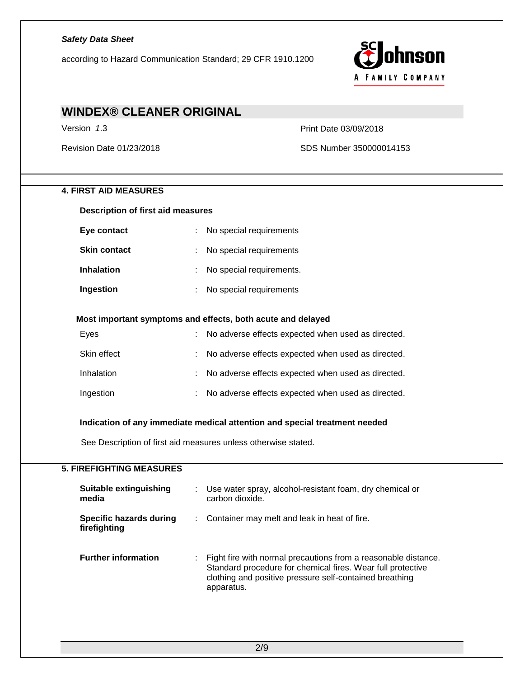according to Hazard Communication Standard; 29 CFR 1910.1200



# **WINDEX® CLEANER ORIGINAL** Version *1*.3 Print Date 03/09/2018 Revision Date 01/23/2018 SDS Number 350000014153 **4. FIRST AID MEASURES Description of first aid measures Eye contact** : No special requirements **Skin contact** : No special requirements **Inhalation** : No special requirements. **Ingestion** : No special requirements **Most important symptoms and effects, both acute and delayed** Eyes : No adverse effects expected when used as directed. Skin effect **in the contract of the set of the set of the set of the set of the set of the set of the set of the set of the set of the set of the set of the set of the set of the set of the set of the set of the set of the** Inhalation : No adverse effects expected when used as directed. Ingestion : No adverse effects expected when used as directed. **Indication of any immediate medical attention and special treatment needed** See Description of first aid measures unless otherwise stated. **5. FIREFIGHTING MEASURES Suitable extinguishing media** : Use water spray, alcohol-resistant foam, dry chemical or carbon dioxide. **Specific hazards during firefighting** : Container may melt and leak in heat of fire. **Further information** : Fight fire with normal precautions from a reasonable distance. Standard procedure for chemical fires. Wear full protective clothing and positive pressure self-contained breathing apparatus.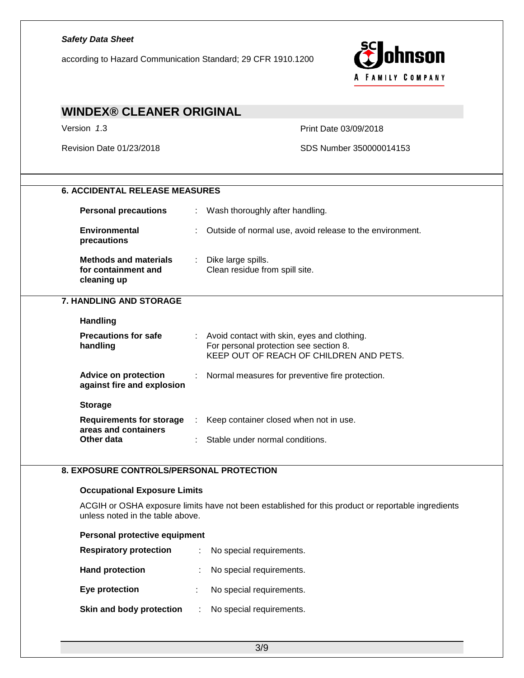| <b>Safety Data Sheet</b><br>nson<br>according to Hazard Communication Standard; 29 CFR 1910.1200<br><b>FAMILY COMPANY</b> |                                                                                                                                    |  |  |
|---------------------------------------------------------------------------------------------------------------------------|------------------------------------------------------------------------------------------------------------------------------------|--|--|
| <b>WINDEX® CLEANER ORIGINAL</b>                                                                                           |                                                                                                                                    |  |  |
| Version 1.3                                                                                                               | Print Date 03/09/2018                                                                                                              |  |  |
| Revision Date 01/23/2018                                                                                                  | SDS Number 350000014153                                                                                                            |  |  |
| <b>6. ACCIDENTAL RELEASE MEASURES</b>                                                                                     |                                                                                                                                    |  |  |
| <b>Personal precautions</b>                                                                                               | : Wash thoroughly after handling.                                                                                                  |  |  |
| <b>Environmental</b><br>precautions                                                                                       | Outside of normal use, avoid release to the environment.                                                                           |  |  |
| <b>Methods and materials</b><br>for containment and<br>cleaning up                                                        | : Dike large spills.<br>Clean residue from spill site.                                                                             |  |  |
| <b>7. HANDLING AND STORAGE</b>                                                                                            |                                                                                                                                    |  |  |
| <b>Handling</b>                                                                                                           |                                                                                                                                    |  |  |
| <b>Precautions for safe</b><br>handling                                                                                   | : Avoid contact with skin, eyes and clothing.<br>For personal protection see section 8.<br>KEEP OUT OF REACH OF CHILDREN AND PETS. |  |  |
| <b>Advice on protection</b><br>against fire and explosion                                                                 | Normal measures for preventive fire protection.                                                                                    |  |  |
| <b>Storage</b>                                                                                                            |                                                                                                                                    |  |  |
| <b>Requirements for storage</b><br>areas and containers                                                                   | Keep container closed when not in use.                                                                                             |  |  |
| Other data                                                                                                                | Stable under normal conditions.                                                                                                    |  |  |
| 8. EXPOSURE CONTROLS/PERSONAL PROTECTION                                                                                  |                                                                                                                                    |  |  |
| <b>Occupational Exposure Limits</b>                                                                                       |                                                                                                                                    |  |  |
| unless noted in the table above.                                                                                          | ACGIH or OSHA exposure limits have not been established for this product or reportable ingredients                                 |  |  |
| Personal protective equipment                                                                                             |                                                                                                                                    |  |  |
| <b>Respiratory protection</b>                                                                                             | No special requirements.                                                                                                           |  |  |
| <b>Hand protection</b>                                                                                                    | No special requirements.                                                                                                           |  |  |
| Eye protection                                                                                                            | No special requirements.                                                                                                           |  |  |
| Skin and body protection                                                                                                  | No special requirements.                                                                                                           |  |  |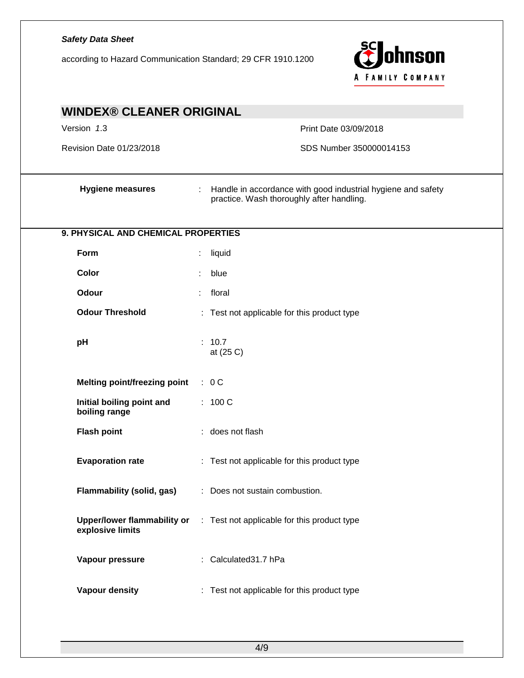| <b>Safety Data Sheet</b><br>according to Hazard Communication Standard; 29 CFR 1910.1200 | ohnson<br>A FAMILY COMPANY                                                                                                  |
|------------------------------------------------------------------------------------------|-----------------------------------------------------------------------------------------------------------------------------|
| <b>WINDEX® CLEANER ORIGINAL</b>                                                          |                                                                                                                             |
| Version 1.3                                                                              | Print Date 03/09/2018                                                                                                       |
| Revision Date 01/23/2018                                                                 | SDS Number 350000014153                                                                                                     |
| <b>Hygiene measures</b>                                                                  | Handle in accordance with good industrial hygiene and safety<br>$\mathbb{Z}^+$<br>practice. Wash thoroughly after handling. |
| 9. PHYSICAL AND CHEMICAL PROPERTIES                                                      |                                                                                                                             |
| Form                                                                                     | liquid                                                                                                                      |
| Color                                                                                    | blue<br>÷                                                                                                                   |
| Odour                                                                                    | floral<br>÷                                                                                                                 |
| <b>Odour Threshold</b>                                                                   | : Test not applicable for this product type                                                                                 |
| pH                                                                                       | : 10.7<br>at (25 C)                                                                                                         |
| <b>Melting point/freezing point</b>                                                      | : 0C                                                                                                                        |
| Initial boiling point and<br>boiling range                                               | : 100 C                                                                                                                     |
| <b>Flash point</b>                                                                       | : does not flash                                                                                                            |
| <b>Evaporation rate</b>                                                                  | : Test not applicable for this product type                                                                                 |
| Flammability (solid, gas)                                                                | : Does not sustain combustion.                                                                                              |
| <b>Upper/lower flammability or</b><br>explosive limits                                   | : Test not applicable for this product type                                                                                 |
| Vapour pressure                                                                          | : Calculated 31.7 hPa                                                                                                       |
| Vapour density                                                                           | : Test not applicable for this product type                                                                                 |
|                                                                                          |                                                                                                                             |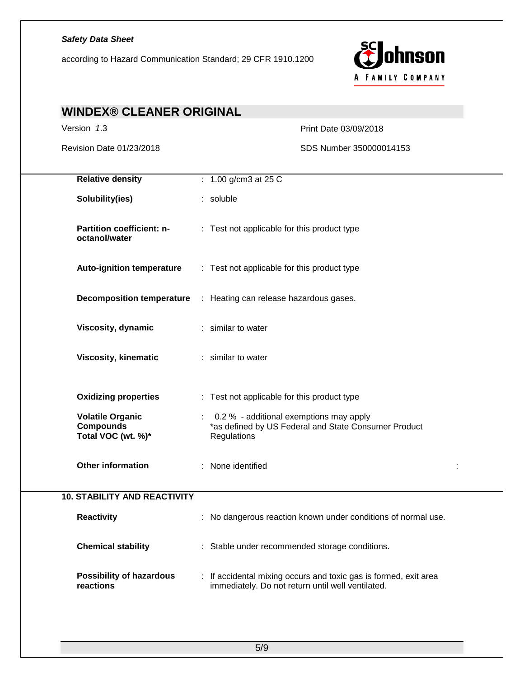according to Hazard Communication Standard; 29 CFR 1910.1200



| <b>WINDEX® CLEANER ORIGINAL</b>                                   |                                                                                                                     |
|-------------------------------------------------------------------|---------------------------------------------------------------------------------------------------------------------|
| Version 1.3                                                       | Print Date 03/09/2018                                                                                               |
| Revision Date 01/23/2018                                          | SDS Number 350000014153                                                                                             |
| <b>Relative density</b>                                           | : $1.00$ g/cm3 at 25 C                                                                                              |
| Solubility(ies)                                                   | : soluble                                                                                                           |
| Partition coefficient: n-<br>octanol/water                        | : Test not applicable for this product type                                                                         |
| <b>Auto-ignition temperature</b>                                  | : Test not applicable for this product type                                                                         |
|                                                                   | <b>Decomposition temperature</b> : Heating can release hazardous gases.                                             |
| Viscosity, dynamic                                                | : similar to water                                                                                                  |
| <b>Viscosity, kinematic</b>                                       | : similar to water                                                                                                  |
| <b>Oxidizing properties</b>                                       | : Test not applicable for this product type                                                                         |
| <b>Volatile Organic</b><br><b>Compounds</b><br>Total VOC (wt. %)* | 0.2 % - additional exemptions may apply<br>*as defined by US Federal and State Consumer Product<br>Regulations      |
| <b>Other information</b>                                          | None identified<br>÷.                                                                                               |
| <b>10. STABILITY AND REACTIVITY</b>                               |                                                                                                                     |
| <b>Reactivity</b>                                                 | No dangerous reaction known under conditions of normal use.                                                         |
| <b>Chemical stability</b>                                         | : Stable under recommended storage conditions.                                                                      |
| <b>Possibility of hazardous</b><br>reactions                      | If accidental mixing occurs and toxic gas is formed, exit area<br>immediately. Do not return until well ventilated. |
|                                                                   |                                                                                                                     |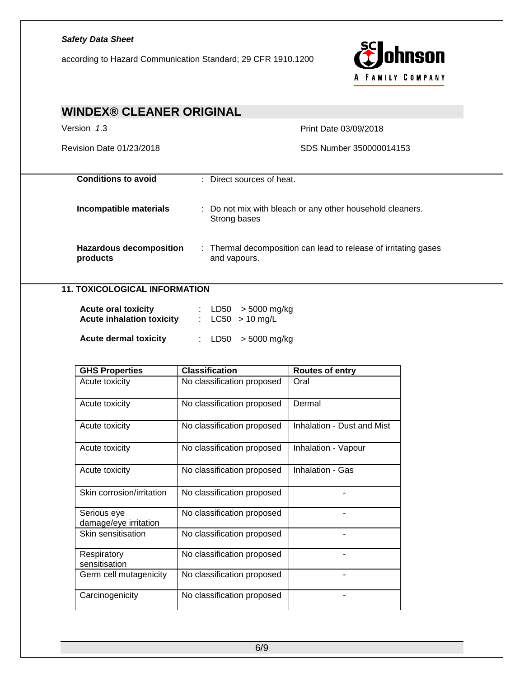## *Safety Data Sheet* ohnson according to Hazard Communication Standard; 29 CFR 1910.1200 A FAMILY COMPANY **WINDEX® CLEANER ORIGINAL** Version *1*.3 Print Date 03/09/2018 Revision Date 01/23/2018 SDS Number 350000014153 **Conditions to avoid** : Direct sources of heat. **Incompatible materials** : Do not mix with bleach or any other household cleaners. Strong bases **Hazardous decomposition**  : Thermal decomposition can lead to release of irritating gases **products** and vapours. **11. TOXICOLOGICAL INFORMATION Acute oral toxicity** : LD50 > 5000 mg/kg **Acute inhalation toxicity** : LC50 > 10 mg/L **Acute dermal toxicity** : LD50 > 5000 mg/kg **GHS Properties Classification Routes of entry** Acute toxicity | No classification proposed | Oral Acute toxicity | No classification proposed | Dermal Acute toxicity <br> No classification proposed | Inhalation - Dust and Mist Acute toxicity **No classification proposed** | Inhalation - Vapour Acute toxicity | No classification proposed | Inhalation - Gas Skin corrosion/irritation | No classification proposed | Serious eye No classification proposed | The classification of damage/eye irritation Skin sensitisation  $\vert$  No classification proposed **Respiratory** No classification proposed | The classification of sensitisation Germ cell mutagenicity | No classification proposed |

Carcinogenicity | No classification proposed |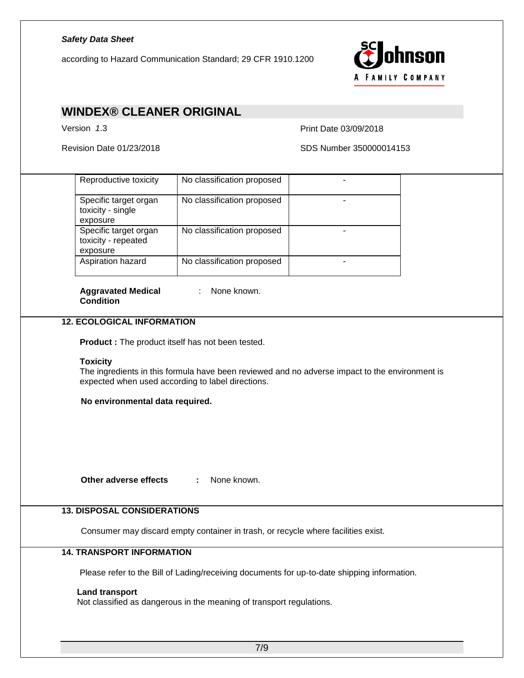according to Hazard Communication Standard; 29 CFR 1910.1200



### **WINDEX® CLEANER ORIGINAL**

Version *1*.3 Print Date 03/09/2018

Revision Date 01/23/2018 SDS Number 350000014153

| Reproductive toxicity<br>Specific target organ<br>toxicity - single<br>exposure<br>Specific target organ<br>toxicity - repeated<br>exposure<br>Aspiration hazard<br><b>Aggravated Medical</b><br><b>Condition</b><br><b>12. ECOLOGICAL INFORMATION</b><br><b>Toxicity</b><br>No environmental data required. | No classification proposed<br>No classification proposed<br>No classification proposed<br>No classification proposed<br>: None known.<br>Product: The product itself has not been tested.<br>The ingredients in this formula have been reviewed and no adverse impact to the environment is<br>expected when used according to label directions. | ۰                                                                      |                                                                      |                                                                                                                                                                                  |
|--------------------------------------------------------------------------------------------------------------------------------------------------------------------------------------------------------------------------------------------------------------------------------------------------------------|--------------------------------------------------------------------------------------------------------------------------------------------------------------------------------------------------------------------------------------------------------------------------------------------------------------------------------------------------|------------------------------------------------------------------------|----------------------------------------------------------------------|----------------------------------------------------------------------------------------------------------------------------------------------------------------------------------|
|                                                                                                                                                                                                                                                                                                              |                                                                                                                                                                                                                                                                                                                                                  |                                                                        |                                                                      |                                                                                                                                                                                  |
|                                                                                                                                                                                                                                                                                                              |                                                                                                                                                                                                                                                                                                                                                  |                                                                        |                                                                      |                                                                                                                                                                                  |
|                                                                                                                                                                                                                                                                                                              |                                                                                                                                                                                                                                                                                                                                                  |                                                                        |                                                                      |                                                                                                                                                                                  |
|                                                                                                                                                                                                                                                                                                              |                                                                                                                                                                                                                                                                                                                                                  |                                                                        |                                                                      |                                                                                                                                                                                  |
|                                                                                                                                                                                                                                                                                                              |                                                                                                                                                                                                                                                                                                                                                  |                                                                        |                                                                      |                                                                                                                                                                                  |
|                                                                                                                                                                                                                                                                                                              |                                                                                                                                                                                                                                                                                                                                                  |                                                                        |                                                                      |                                                                                                                                                                                  |
|                                                                                                                                                                                                                                                                                                              |                                                                                                                                                                                                                                                                                                                                                  |                                                                        |                                                                      |                                                                                                                                                                                  |
|                                                                                                                                                                                                                                                                                                              |                                                                                                                                                                                                                                                                                                                                                  |                                                                        |                                                                      |                                                                                                                                                                                  |
|                                                                                                                                                                                                                                                                                                              |                                                                                                                                                                                                                                                                                                                                                  |                                                                        |                                                                      |                                                                                                                                                                                  |
| Other adverse effects                                                                                                                                                                                                                                                                                        | None known.<br>÷                                                                                                                                                                                                                                                                                                                                 |                                                                        |                                                                      |                                                                                                                                                                                  |
|                                                                                                                                                                                                                                                                                                              |                                                                                                                                                                                                                                                                                                                                                  |                                                                        |                                                                      |                                                                                                                                                                                  |
|                                                                                                                                                                                                                                                                                                              |                                                                                                                                                                                                                                                                                                                                                  |                                                                        |                                                                      |                                                                                                                                                                                  |
|                                                                                                                                                                                                                                                                                                              |                                                                                                                                                                                                                                                                                                                                                  |                                                                        |                                                                      |                                                                                                                                                                                  |
|                                                                                                                                                                                                                                                                                                              |                                                                                                                                                                                                                                                                                                                                                  |                                                                        |                                                                      |                                                                                                                                                                                  |
|                                                                                                                                                                                                                                                                                                              |                                                                                                                                                                                                                                                                                                                                                  |                                                                        |                                                                      |                                                                                                                                                                                  |
|                                                                                                                                                                                                                                                                                                              | <b>Land transport</b>                                                                                                                                                                                                                                                                                                                            | <b>13. DISPOSAL CONSIDERATIONS</b><br><b>14. TRANSPORT INFORMATION</b> | Not classified as dangerous in the meaning of transport regulations. | Consumer may discard empty container in trash, or recycle where facilities exist.<br>Please refer to the Bill of Lading/receiving documents for up-to-date shipping information. |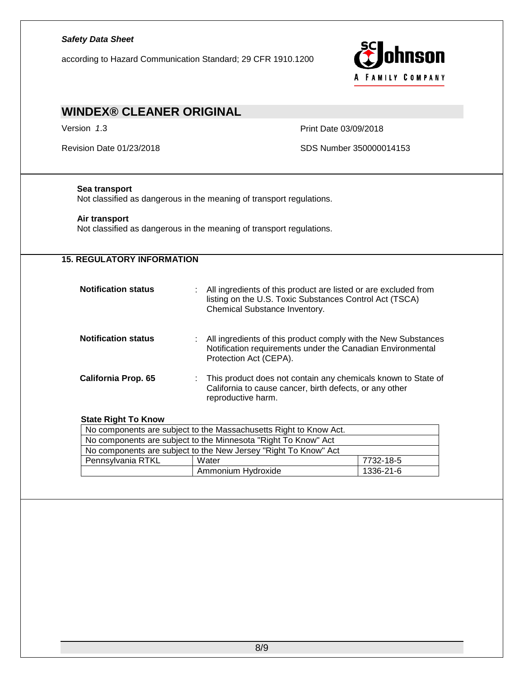# *Safety Data Sheet* ohnson according to Hazard Communication Standard; 29 CFR 1910.1200 A FAMILY COMPANY **WINDEX® CLEANER ORIGINAL** Version *1*.3 Print Date 03/09/2018 Revision Date 01/23/2018 SDS Number 350000014153 **Sea transport** Not classified as dangerous in the meaning of transport regulations. **Air transport** Not classified as dangerous in the meaning of transport regulations. **15. REGULATORY INFORMATION Notification status** : All ingredients of this product are listed or are excluded from listing on the U.S. Toxic Substances Control Act (TSCA) Chemical Substance Inventory. **Notification status** : All ingredients of this product comply with the New Substances Notification requirements under the Canadian Environmental Protection Act (CEPA). **California Prop. 65** : This product does not contain any chemicals known to State of California to cause cancer, birth defects, or any other reproductive harm. **State Right To Know** No components are subject to the Massachusetts Right to Know Act. No components are subject to the Minnesota "Right To Know" Act No components are subject to the New Jersey "Right To Know" Act Pennsylvania RTKL  $\vert$  Water  $\vert$  7732-18-5 Ammonium Hydroxide | 1336-21-6